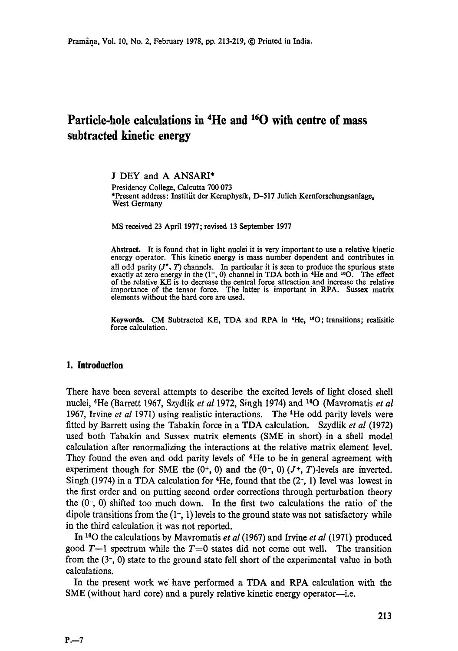# **Particle-hole calculations in 4He and 160 with centre of mass subtracted kinetic energy**

J DEY and A ANSARI\* Presidency College, Calcutta 700 073 \*Present address: Institüt der Kernphysik, D-517 Julich Kernforschungsanlage, West Germany

MS received 23 April 1977; revised 13 September 1977

**Abstract.** It is found that in light nuclei it is very important to use a relative kinetic energy operator. This kinetic energy is mass number dependent and contributes in all odd parity  $(J^*, T)$  channels. In particular it is seen to produce the spurious state exactly at zero energy in the  $(1, 0)$  channel in TDA both in  $H$ e and <sup>16</sup>O. The effect of the relative KE is to decrease the central force attraction and increase the relative importance of the tensor force. The latter is important in RPA. Sussex matrix elements without the hard core are used.

**Keywords. CM** Subtracted KE, TDA and RPA in **\*He, leO;** transitions; realisitic force calculation.

#### **1. Introduction**

There have been several attempts to describe the excited levels of light closed shell nuclei, <sup>4</sup>He (Barrett 1967, Szydlik *et al* 1972, Singh 1974) and <sup>16</sup>O (Mavromatis *et al* 1967, Irvine *et al* 1971) using realistic interactions. The 4He odd parity levels were fitted by Barrett using the Tabakin force in a TDA calculation. Szydlik *et al* (1972) used both Tabakin and Sussex matrix elements (SME in short) in a shell model calculation after renormalizing the interactions at the relative matrix element level. They found the even and odd parity levels of  $4$ He to be in general agreement with experiment though for SME the  $(0^+, 0)$  and the  $(0^-, 0)$   $(J^+, T)$ -levels are inverted. Singh (1974) in a TDA calculation for  $4$ He, found that the (2-, 1) level was lowest in the first order and on putting second order corrections through perturbation theory the  $(0, 0)$  shifted too much down. In the first two calculations the ratio of the dipole transitions from the  $(1, 1)$  levels to the ground state was not satisfactory while in the third calculation it was not reported.

In <sup>16</sup>O the calculations by Mavromatis *et al* (1967) and Irvine *et al* (1971) produced good  $T=1$  spectrum while the  $T=0$  states did not come out well. The transition from the (3-, 0) state to the ground state fell short of the experimental value in both calculations.

In the present work we have performed a TDA and RPA calculation with the SME (without hard core) and a purely relative kinetic energy operator--i.e.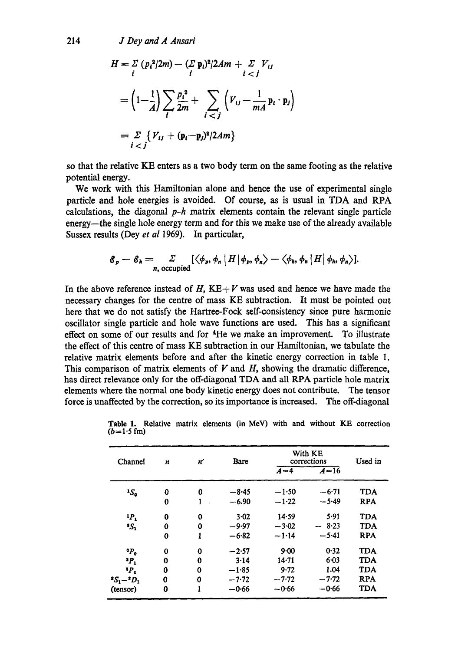214 *J Dey and A Ansari* 

$$
H = \sum_{i} (p_i^2/2m) - \sum_{i} p_i^2/2Am + \sum_{i < j} V_{ij}
$$
\n
$$
= \left(1 - \frac{1}{A}\right) \sum_{i} \frac{p_i^2}{2m} + \sum_{i < j} \left(V_{ij} - \frac{1}{mA} p_i \cdot p_j\right)
$$
\n
$$
= \sum_{i < j} \left\{V_{ij} + (p_i - p_j)^2/2Am\right\}
$$

so that the relative KE enters as a two body term on the same footing as the relative potential energy.

We work with this Hamiltonian alone and hence the use of experimental single particle and hole energies is avoided. Of course, as is usual in TDA and RPA calculations, the diagonal *p-h* matrix elements contain the relevant single particle energy--the single hole energy term and for this we make use of the already available Sussex results (Dey *et al* 1969). In particular,

$$
\mathscr{E}_{p} - \mathscr{E}_{h} = \sum_{n, \text{ occupied}} [\langle \phi_{p}, \phi_{n} | H | \phi_{p}, \phi_{n} \rangle - \langle \phi_{h}, \phi_{n} | H | \phi_{h}, \phi_{n} \rangle].
$$

In the above reference instead of H,  $KE+V$  was used and hence we have made the necessary changes for the centre of mass KE subtraction. It must be pointed out here that we do not satisfy the Hartree-Fock self-consistency since pure harmonic oscillator single particle and hole wave functions are used. This has a significant effect on some of our results and for 4He we make an improvement. To illustrate the effect of this centre of mass KE subtraction in our Hamiltonian, we tabulate the relative matrix elements before and after the kinetic energy correction in table 1. This comparison of matrix elements of  $V$  and  $H$ , showing the dramatic difference, has direct relevance only for the off-diagonal TDA and all RPA particle hole matrix elements where the normal one body kinetic energy does not contribute. The tensor force is unaffected by the correction, so its importance is increased. The off-diagonal

| Channel                     | $\boldsymbol{n}$ | n'           | Bare    | With KE<br>corrections | Used in |            |
|-----------------------------|------------------|--------------|---------|------------------------|---------|------------|
|                             |                  |              |         | $A=4$                  | $A=16$  |            |
| $1S_{\rm o}$                | 0                | 0            | $-8.45$ | $-1.50$                | $-6.71$ | <b>TDA</b> |
|                             | 0                | $\mathbf{1}$ | $-6.90$ | $-1.22$                | $-5.49$ | <b>RPA</b> |
| P <sub>1</sub>              | 0                | $\mathbf 0$  | 3.02    | 14.59                  | 5.91    | <b>TDA</b> |
| ЗS,                         | 0                | 0            | $-9.97$ | $-3.02$                | $-8.23$ | <b>TDA</b> |
|                             | 0                | 1            | $-6.82$ | $-1.14$                | $-5.41$ | <b>RPA</b> |
| $P_0$                       | 0                | $\mathbf 0$  | $-2.57$ | 9.00                   | 0.32    | <b>TDA</b> |
| $P_1$                       | $\bf{0}$         | 0            | 3.14    | $14 - 71$              | $6-03$  | <b>TDA</b> |
| $P_{\bullet}$               | 0                | 0            | $-1.85$ | 9.72                   | 1.04    | <b>TDA</b> |
| $^{\circ}S_1 - ^{\circ}D_1$ | 0                | 0            | $-7.72$ | $-7.72$                | $-7.72$ | <b>RPA</b> |
| (tensor)                    | 0                | 1            | $-0.66$ | $-0.66$                | $-0.66$ | TDA        |

**Table 1. Relative matrix** elements (in MeV) with and without KE correction  $(b=1.5 \text{ fm})$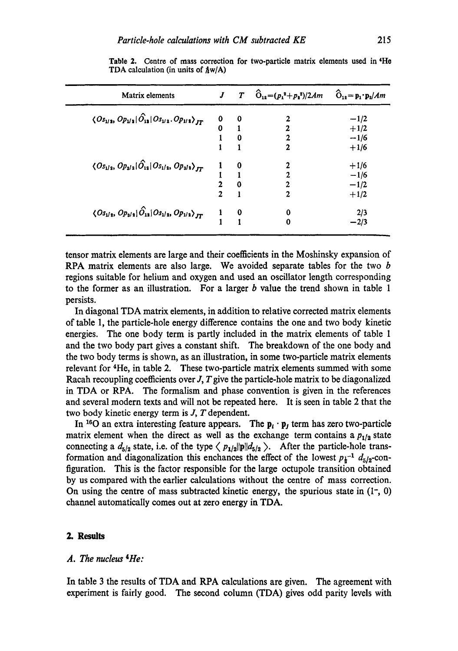| Matrix elements                                                                           |                | T        | $\hat{O}_{12} = (p_1^2 + p_2^2)/2Am$ | $\hat{O}_{12} = p_1 \cdot p_2 / Am$ |
|-------------------------------------------------------------------------------------------|----------------|----------|--------------------------------------|-------------------------------------|
| $\langle O_{s_{1/2}}, O_{p_{1/2}}   \hat{O}_{12}   O_{s_{1/2}}, O_{p_{1/2}} \rangle_{IT}$ | 0              | 0        | 2                                    | $-1/2$                              |
|                                                                                           | 0              |          | 2                                    | $+1/2$                              |
|                                                                                           |                | 0        | 2                                    | $-1/6$                              |
|                                                                                           |                |          | 2                                    | $+1/6$                              |
| $\langle O_{s_{1/2}}, O_{p_{3/2}}   \hat{O}_{12}   O_{s_{1/2}}, O_{p_{3/2}} \rangle_{JT}$ |                |          |                                      | $+1/6$                              |
|                                                                                           |                |          | 2                                    | $-1/6$                              |
|                                                                                           | $\overline{2}$ | 0        | 2                                    | $-1/2$                              |
|                                                                                           | $\overline{2}$ |          | 2                                    | $+1/2$                              |
| $\langle O_{s_1/s}, O_{p_{3/s}}   \hat{O}_{1s}   O_{s_1/s}, O_{p_{1/s}} \rangle_{JT}$     |                | $\bf{0}$ | 0                                    | 2/3                                 |
|                                                                                           |                |          |                                      | -2/3                                |
|                                                                                           |                |          |                                      |                                     |

**Table** 2. Centre of mass correction for two-particle matrix elements used in 4He TDA calculation (in units of  $\hbar w/A$ )

tensor matrix elements are large and their eoetllcients in the Moshinsky expansion of RPA matrix elements are also large. We avoided separate tables for the two b regions suitable for helium and oxygen and used an oscillator length corresponding to the former as an illustration. For a larger  $b$  value the trend shown in table 1 persists.

In diagonal TDA matrix elements, in addition to relative corrected matrix elements of table 1, the particle-hole energy difference contains the one and two body kinetic energies. The one body term is partly included in the matrix elements of table 1 and the two body part gives a constant shift. The breakdown of the one body and the two body terms is shown, as an illustration, in some two-particle matrix elements relevant for 4He, in table 2. These two-particle matrix elements summed with some Racah recoupling coefficients over  $J$ ,  $T$  give the particle-hole matrix to be diagonalized in TDA or RPA. The formalism and phase convention is given in the references and several modern texts and will not be repeated here. It is seen in table 2 that the two body kinetic energy term is J, T dependent.

In <sup>16</sup>O an extra interesting feature appears. The  $p_i \cdot p_j$  term has zero two-particle matrix element when the direct as well as the exchange term contains a  $p_{1/2}$  state connecting a  $d_{5/2}$  state, i.e. of the type  $\langle p_{1/2} || p || d_{5/2} \rangle$ . After the particle-hole transformation and diagonalization this enchances the effect of the lowest  $p_i^{-1}$   $d_{5/2}$ -configuration. This is the factor responsible for the large octupole transition obtained by us compared with the earlier calculations without the centre of mass correction. On using the centre of mass subtracted kinetic energy, the spurious state in  $(1, 0)$ channel automatically comes out at zero energy in TDA.

#### *2. Results*

#### *A. The nucleus 4He:*

In table 3 the results of TDA and RPA calculations are given. The agreement with experiment is fairly good. The second column (TDA) gives odd parity levels with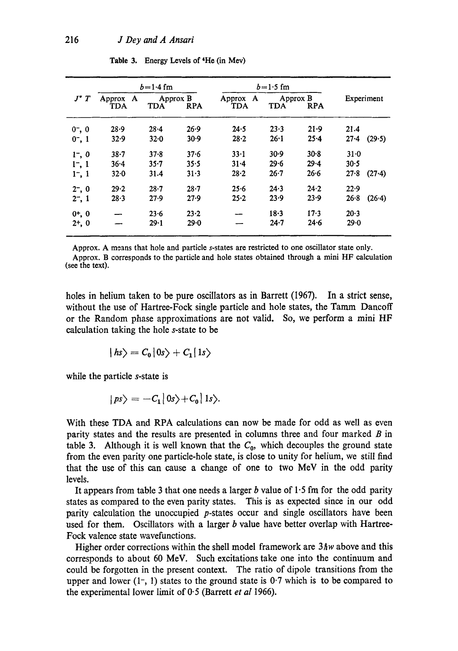|             | $b = 1.4$ fm    |                                      |          | $b = 1.5$ fm              |                                      |          |                      |  |
|-------------|-----------------|--------------------------------------|----------|---------------------------|--------------------------------------|----------|----------------------|--|
| $J^*T$      | Approx A<br>TDA | Approx B<br><b>TDA</b><br><b>RPA</b> |          | A<br>Approx<br><b>TDA</b> | Approx B<br><b>TDA</b><br><b>RPA</b> |          | Experiment           |  |
|             |                 |                                      |          |                           |                                      |          |                      |  |
| $0^-$ , 0   | 28.9            | $28 - 4$                             | 26.9     | 24.5                      | 23.3                                 | 21.9     | 21.4                 |  |
| $0^{-}, 1$  | 32.9            | 32.0                                 | 30.9     | 28.2                      | 26:1                                 | 25.4     | 27.4<br>(29.5)       |  |
| $1^{-}$ , 0 | $38 - 7$        | $37 - 8$                             | 37.6     | $33 - 1$                  | 30.9                                 | $30 - 8$ | $31 - 0$             |  |
| 1, 1        | $36 - 4$        | $35 - 7$                             | 35.5     | $31 - 4$                  | 29.6                                 | $29 - 4$ | 30.5                 |  |
| $1^-, 1$    | 32.0            | 31.4                                 | 31.3     | $28 - 2$                  | $26 - 7$                             | 26.6     | $27 - 8$<br>$(27-4)$ |  |
| $2^{-}$ , 0 | 29.2            | $28 - 7$                             | $28 - 7$ | 25.6                      | 24.3                                 | 24.2     | 22.9                 |  |
| $2^{-}$ , 1 | 28.3            | 27.9                                 | 27.9     | $25 - 2$                  | 23.9                                 | 23.9     | 26.8<br>(26.4)       |  |
| $0^{+}$ , 0 |                 | $23 - 6$                             | $23 - 2$ |                           | 18.3                                 | $17-3$   | 20.3                 |  |
| $2+, 0$     |                 | 29.1                                 | 29.0     |                           | $24 - 7$                             | 24.6     | 29.0                 |  |

Table 3. Energy Levels of 4He (in Mev)

Approx. A means that hole and particle s-states are restricted to one oscillator state only.

Approx. B corresponds to the particle and hole states obtained through a mini HF calculation (see the text).

holes in helium taken to be pure oscillators as in Barrett (1967). In a strict sense, without the use of Hartree-Fock single particle and hole states, the Tamm Dancoff or the Random phase approximations are not valid. So, we perform a mini HF calculation taking the hole s-state to be

$$
|hs\rangle = C_0 |0s\rangle + C_1 |1s\rangle
$$

while the particle s-state is

$$
|ps\rangle = -C_1|0s\rangle + C_0|1s\rangle.
$$

With these TDA and RPA calculations can now be made for odd as well as even parity states and the results are presented in columns three and four marked  $B$  in table 3. Although it is well known that the  $C_0$ , which decouples the ground state from the even parity one particle-hole state, is close to unity for helium, we still find that the use of this can cause a change of one to two MeV in the odd parity levels.

It appears from table 3 that one needs a larger b value of  $1.5$  fm for the odd parity states as compared to the even parity states. This is as expected since in our odd parity calculation the unoccupied p-states occur and single oscillators have been used for them. Oscillators with a larger  $b$  value have better overlap with Hartree-Fock valence state wavefunctions.

Higher order corrections within the shell model framework are  $3\hbar w$  above and this corresponds to about 60 MeV. Such excitations take one into the continuum and could be forgotten in the present context. The ratio of dipole transitions from the upper and lower  $(1, 1)$  states to the ground state is 0.7 which is to be compared to the experimental lower limit of 0"5 (Barrett *et al* 1966).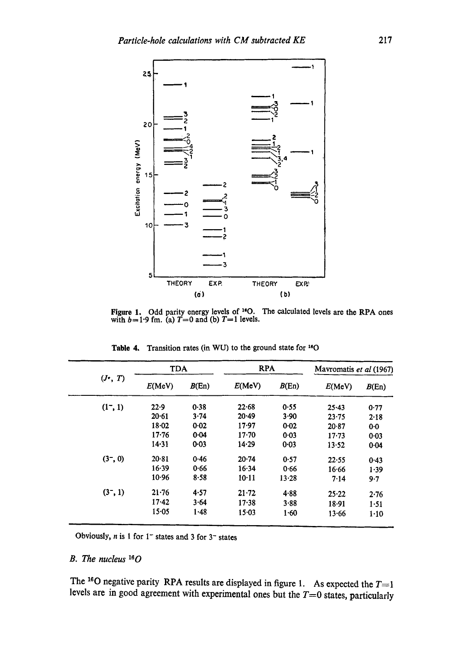

Figure 1. Odd parity energy levels of  $^{16}O$ . The calculated levels are the RPA ones with  $b=1.9$  fm. (a)  $T=0$  and (b)  $T=1$  levels.

|            | <b>TDA</b> |          | <b>RPA</b> |           | Mavromatis et al (1967) |                |
|------------|------------|----------|------------|-----------|-------------------------|----------------|
| $(J^*, T)$ | E(MeV)     | B(En)    | E(MeV)     | B(En)     | E(MeV)                  | B(En)          |
| $(1^-, 1)$ | 22.9       | 0.38     | 22.68      | 0.55      | $25 - 43$               | 0.77           |
|            | 20.61      | 3.74     | 20.49      | 3.90      | $23 - 75$               | 2.18           |
|            | 18.02      | 0.02     | 17.97      | 0.02      | 20.87                   | 0 <sub>0</sub> |
|            | $17 - 76$  | 0.04     | $17 - 70$  | 0.03      | $17 - 73$               | 0.03           |
|            | 14.31      | $0 - 03$ | 14.29      | 0.03      | 13.52                   | 0.04           |
| (3, 0)     | 20.81      | 0.46     | 20.74      | 0.57      | 22.55                   | 0.43           |
|            | $16 - 39$  | 0.66     | 16.34      | 0.66      | 16.66                   | 1.39           |
|            | 10.96      | 8.58     | $10-11$    | $13 - 28$ | 7.14                    | 9.7            |
| (3, 1)     | $21 - 76$  | 4.57     | $21 - 72$  | 4.88      | 25.22                   | 2.76           |
|            | 17.42      | 3.64     | 17.38      | 3.88      | 18.91                   | 1.51           |
|            | $15 - 05$  | 1.48     | $15 - 03$  | 1.60      | 13.66                   | 1.10           |

Table 4. Transition rates (in WU) to the ground state for <sup>16</sup>O

Obviously,  $n$  is 1 for 1<sup>-</sup> states and 3 for 3<sup>-</sup> states

#### *B. The nucleus 160*

The <sup>16</sup>O negative parity RPA results are displayed in figure 1. As expected the  $T=1$ levels are in good agreement with experimental ones but the  $T=0$  states, particularly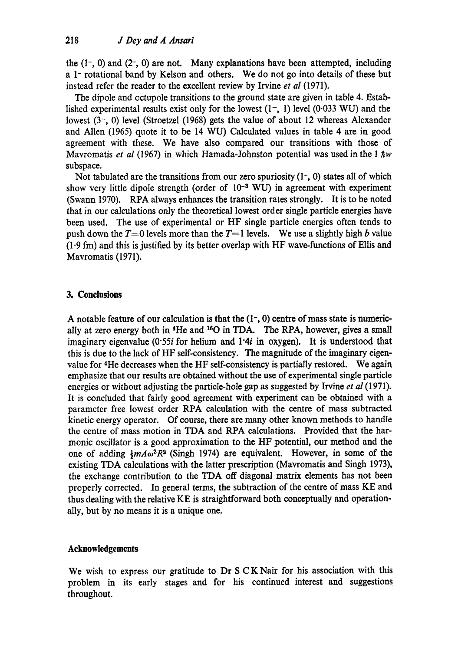the  $(1, 0)$  and  $(2, 0)$  are not. Many explanations have been attempted, including a 1- rotational band by Kelson and others. We do not go into details of these but instead refer the reader to the excellent review by Irvine *et al* (1971).

The dipole and octupole transitions to the ground state are given in table 4. Established experimental results exist only for the lowest  $(1^-, 1)$  level  $(0.033 \text{ WU})$  and the lowest  $(3, 0)$  level (Stroetzel (1968) gets the value of about 12 whereas Alexander and Allen (1965) quote it to be 14 WU) Calculated values in table 4 are in good agreement with these. We have also compared our transitions with those of Mavromatis *et al* (1967) in which Hamada-Johnston potential was used in the 1  $\hbar w$ subspace.

Not tabulated are the transitions from our zero spuriosity  $(1, 0)$  states all of which show very little dipole strength (order of  $10^{-3}$  WU) in agreement with experiment (Swann 1970). RPA always enhances the transition rates strongly. It is to be noted that in our calculations only the theoretical lowest order single particle energies have been used. The use of experimental or HF single particle energies often tends to push down the  $T=0$  levels more than the  $T=1$  levels. We use a slightly high b value  $(1.9 \text{ fm})$  and this is justified by its better overlap with HF wave-functions of Ellis and Mavromatis (1971).

## **3. Conclusions**

A notable feature of our calculation is that the  $(1, 0)$  centre of mass state is numerically at zero energy both in 4He and 180 in *TDA.* The RPA, however, gives a small imaginary eigenvalue  $(0.55i)$  for helium and  $1.4i$  in oxygen). It is understood that this is due to the lack of HF self-consistency. The magnitude of the imaginary eigenvalue for 4He decreases when the HF self-consistency is partially restored. We again emphasize that our results are obtained without the use of experimental single particle energies or without adjusting the particle-hole gap as suggested by Irvine *et al* (1971). It is concluded that fairly good agreement with experiment can be obtained with a parameter free lowest order RPA calculation with the centre of mass subtracted kinetic energy operator. Of course, there are many other known methods to handle the centre of mass motion in TDA and RPA calculations. Provided that the harmonic oscillator is a good approximation to the HF potential, our method and the one of adding  $\frac{1}{2}m A\omega^2 R^2$  (Singh 1974) are equivalent. However, in some of the existing TDA calculations with the latter prescription (Mavromatis and Singh 1973), the exchange contribution to the TDA off diagonal matrix elements has not been properly corrected. In general terms, the subtraction of the centre of mass KE and thus dealing with the relative KE is straightforward both conceptually and operationally, but by no means it is a unique one.

## **Acknowledgements**

We wish to express our gratitude to Dr S C K Nair for his association with this problem in its early stages and for his continued interest and suggestions throughout.